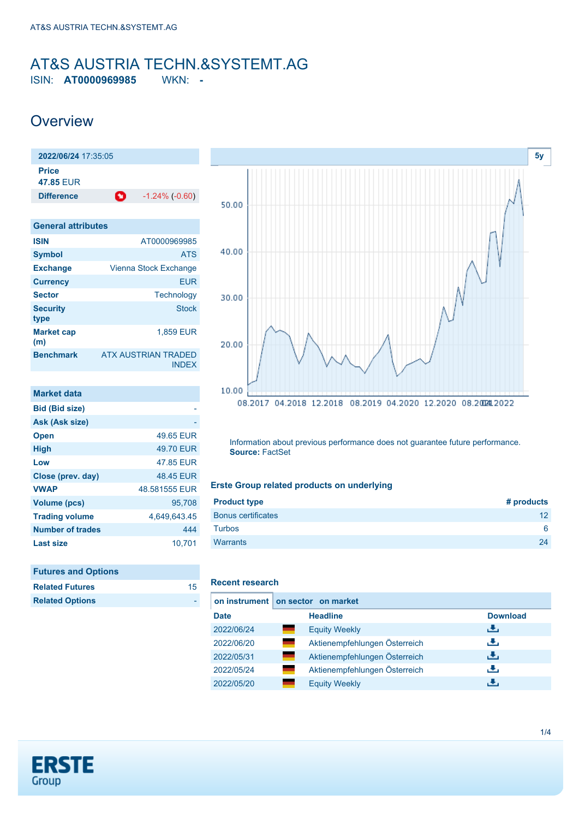# <span id="page-0-0"></span>AT&S AUSTRIA TECHN.&SYSTEMT.AG

ISIN: **AT0000969985** WKN: **-**

# **Overview**



| <b>ISIN</b>              | AT0000969985                               |
|--------------------------|--------------------------------------------|
| <b>Symbol</b>            | <b>ATS</b>                                 |
| <b>Exchange</b>          | Vienna Stock Exchange                      |
| <b>Currency</b>          | <b>EUR</b>                                 |
| <b>Sector</b>            | Technology                                 |
| <b>Security</b><br>type  | Stock                                      |
| <b>Market cap</b><br>(m) | 1,859 EUR                                  |
| <b>Benchmark</b>         | <b>ATX AUSTRIAN TRADED</b><br><b>INDEX</b> |

| <b>Market data</b>      |               |
|-------------------------|---------------|
| <b>Bid (Bid size)</b>   |               |
| Ask (Ask size)          |               |
| <b>Open</b>             | 49.65 FUR     |
| <b>High</b>             | 49.70 EUR     |
| Low                     | 47.85 FUR     |
| Close (prev. day)       | 48.45 EUR     |
| <b>VWAP</b>             | 48.581555 FUR |
| <b>Volume (pcs)</b>     | 95,708        |
| <b>Trading volume</b>   | 4,649,643.45  |
| <b>Number of trades</b> | 444           |
| Last size               | 10.701        |

| <b>Futures and Options</b> |    |
|----------------------------|----|
| <b>Related Futures</b>     | 15 |
| <b>Related Options</b>     |    |



Information about previous performance does not guarantee future performance. **Source:** FactSet

## **Erste Group related products on underlying**

| <b>Product type</b>       | # products |
|---------------------------|------------|
| <b>Bonus certificates</b> | 12         |
| <b>Turbos</b>             | 6          |
| <b>Warrants</b>           | 24         |
|                           |            |

## **Recent research**

|             | on instrument on sector on market        |                 |  |  |  |
|-------------|------------------------------------------|-----------------|--|--|--|
| <b>Date</b> | <b>Headline</b>                          | <b>Download</b> |  |  |  |
| 2022/06/24  | <b>Equity Weekly</b>                     | رالى            |  |  |  |
| 2022/06/20  | and the<br>Aktienempfehlungen Österreich | رنان            |  |  |  |
| 2022/05/31  | Aktienempfehlungen Österreich<br>an i    | رالى            |  |  |  |
| 2022/05/24  | Aktienempfehlungen Österreich            | رنان            |  |  |  |
| 2022/05/20  | <b>Equity Weekly</b>                     | æ,              |  |  |  |

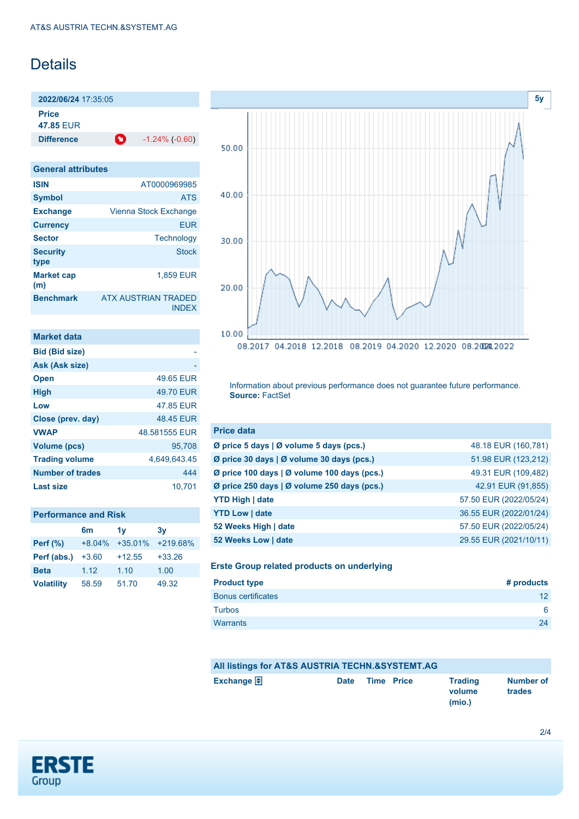# Details

**2022/06/24** 17:35:05 **Price**

**47.85** EUR

**Difference** -1.24% (-0.60)

| <b>General attributes</b> |                                            |
|---------------------------|--------------------------------------------|
| <b>ISIN</b>               | AT0000969985                               |
| <b>Symbol</b>             | <b>ATS</b>                                 |
| <b>Exchange</b>           | Vienna Stock Exchange                      |
| <b>Currency</b>           | EUR                                        |
| <b>Sector</b>             | Technology                                 |
| <b>Security</b><br>type   | <b>Stock</b>                               |
| <b>Market cap</b><br>(m)  | 1.859 EUR                                  |
| <b>Benchmark</b>          | <b>ATX AUSTRIAN TRADED</b><br><b>INDEX</b> |

| <b>Market data</b>      |               |
|-------------------------|---------------|
| <b>Bid (Bid size)</b>   |               |
| Ask (Ask size)          |               |
| <b>Open</b>             | 49.65 EUR     |
| <b>High</b>             | 49.70 EUR     |
| Low                     | 47.85 EUR     |
| Close (prev. day)       | 48.45 EUR     |
| <b>VWAP</b>             | 48.581555 EUR |
| Volume (pcs)            | 95.708        |
| <b>Trading volume</b>   | 4,649,643.45  |
| <b>Number of trades</b> | 444           |
| Last size               | 10.701        |

| <b>Performance and Risk</b> |  |
|-----------------------------|--|
|-----------------------------|--|

|                   | 6m       | 1v        | 3v         |
|-------------------|----------|-----------|------------|
| Perf $(\%)$       | $+8.04%$ | $+35.01%$ | $+219.68%$ |
| Perf (abs.)       | $+3.60$  | $+12.55$  | $+33.26$   |
| <b>Beta</b>       | 1.12     | 1.10      | 1.00       |
| <b>Volatility</b> | 58.59    | 51.70     | 49.32      |



Information about previous performance does not guarantee future performance. **Source:** FactSet

| <b>Price data</b>                             |                        |
|-----------------------------------------------|------------------------|
| Ø price 5 days $\vert$ Ø volume 5 days (pcs.) | 48.18 EUR (160,781)    |
| Ø price 30 days   Ø volume 30 days (pcs.)     | 51.98 EUR (123,212)    |
| Ø price 100 days   Ø volume 100 days (pcs.)   | 49.31 EUR (109,482)    |
| Ø price 250 days   Ø volume 250 days (pcs.)   | 42.91 EUR (91,855)     |
| <b>YTD High   date</b>                        | 57.50 EUR (2022/05/24) |
| <b>YTD Low   date</b>                         | 36.55 EUR (2022/01/24) |
| 52 Weeks High   date                          | 57.50 EUR (2022/05/24) |
| 52 Weeks Low   date                           | 29.55 EUR (2021/10/11) |

**Erste Group related products on underlying**

| <b>Product type</b>       | # products      |
|---------------------------|-----------------|
| <b>Bonus certificates</b> | 12 <sup>2</sup> |
| <b>Turbos</b>             | 6               |
| Warrants                  | 24              |

# **All listings for AT&S AUSTRIA TECHN.&SYSTEMT.AG Exchange Date Time Price Trading**

#### **volume Number of trades**

**(mio.)**

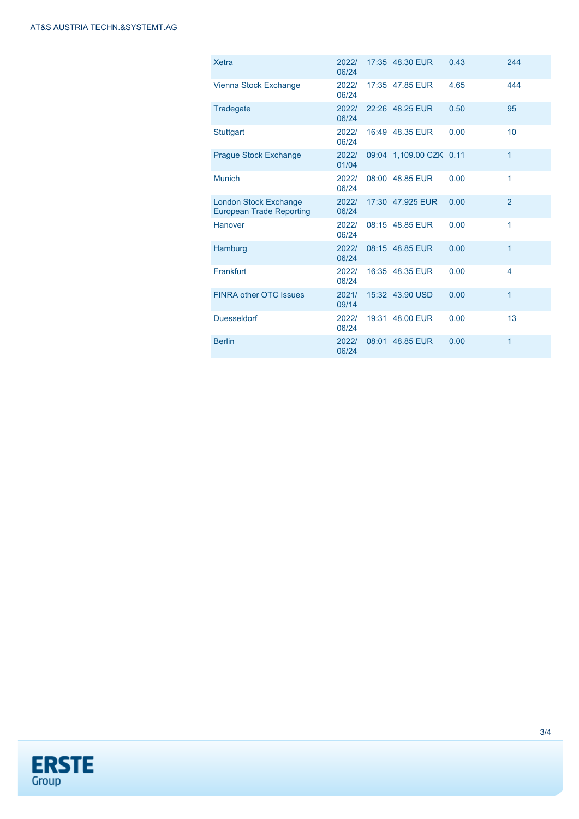| <b>Xetra</b>                                                    | 2022/<br>06/24 |       | 17:35 48.30 EUR         | 0.43 | 244            |
|-----------------------------------------------------------------|----------------|-------|-------------------------|------|----------------|
| Vienna Stock Exchange                                           | 2022/<br>06/24 |       | 17:35 47.85 EUR         | 4.65 | 444            |
| Tradegate                                                       | 2022/<br>06/24 |       | 22:26 48.25 EUR         | 0.50 | 95             |
| <b>Stuttgart</b>                                                | 2022/<br>06/24 |       | 16:49 48.35 EUR         | 0.00 | 10             |
| <b>Prague Stock Exchange</b>                                    | 2022/<br>01/04 |       | 09:04 1,109.00 CZK 0.11 |      | $\mathbf{1}$   |
| <b>Munich</b>                                                   | 2022/<br>06/24 |       | 08:00 48.85 EUR         | 0.00 | 1              |
| <b>London Stock Exchange</b><br><b>European Trade Reporting</b> | 2022/<br>06/24 |       | 17:30 47.925 EUR        | 0.00 | $\overline{2}$ |
| Hanover                                                         | 2022/<br>06/24 |       | 08:15 48.85 EUR         | 0.00 | 1              |
| Hamburg                                                         | 2022/<br>06/24 |       | 08:15 48.85 EUR         | 0.00 | $\mathbf{1}$   |
| Frankfurt                                                       | 2022/<br>06/24 |       | 16:35 48.35 EUR         | 0.00 | 4              |
| <b>FINRA other OTC Issues</b>                                   | 2021/<br>09/14 |       | 15:32 43.90 USD         | 0.00 | $\mathbf{1}$   |
| <b>Duesseldorf</b>                                              | 2022/<br>06/24 |       | 19:31 48.00 EUR         | 0.00 | 13             |
| <b>Berlin</b>                                                   | 2022/<br>06/24 | 08:01 | 48.85 EUR               | 0.00 | 1              |